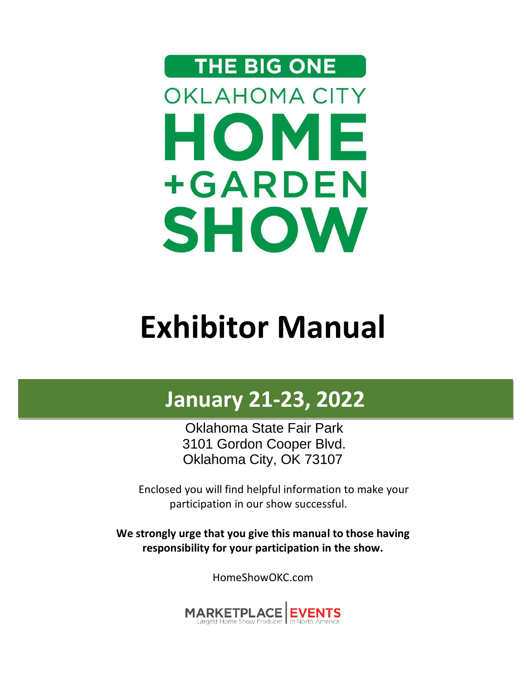# THE BIG ONE **OKLAHOMA CITY** HOME +GARDEN **SHOW**

## **Exhibitor Manual**

## **January 21-23, 2022**

Oklahoma State Fair Park 3101 Gordon Cooper Blvd. Oklahoma City, OK 73107

Enclosed you will find helpful information to make your participation in our show successful.

**We strongly urge that you give this manual to those having responsibility for your participation in the show.**

HomeShowOKC.com

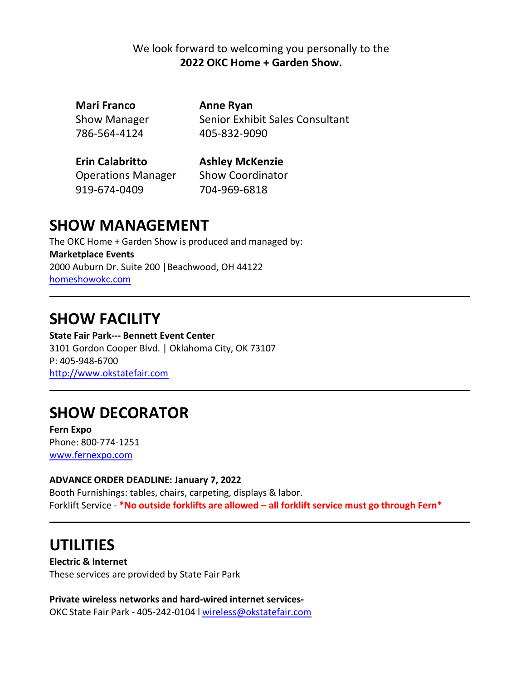#### We look forward to welcoming you personally to the **2022 OKC Home + Garden Show.**

**Mari Franco Anne Ryan**  786-564-4124 405-832-9090

Show Manager Senior Exhibit Sales Consultant

**Erin Calabritto Ashley McKenzie** Operations Manager Show Coordinator 919-674-0409 704-969-6818

### **SHOW MANAGEMENT**

The OKC Home + Garden Show is produced and managed by: **Marketplace Events** 2000 Auburn Dr. Suite 200 |Beachwood, OH 44122 [homeshowokc.com](http://www.homeshowokc.com/)

### **SHOW FACILITY**

**State Fair Park--- Bennett Event Center** 3101 Gordon Cooper Blvd. | Oklahoma City, OK 73107 P: 405-948-6700 [http://www.okstatefair.com](http://www.okstatefair.com/)

### **SHOW DECORATOR**

**Fern Expo** Phone: 800-774-1251 [www.fernexpo.com](http://www.fernexpo.com/)

#### **ADVANCE ORDER DEADLINE: January 7, 2022**

Booth Furnishings: tables, chairs, carpeting, displays & labor. Forklift Service - **\*No outside forklifts are allowed – all forklift service must go through Fern\***

### **UTILITIES**

**Electric & Internet** These services are provided by State Fair Park

**Private wireless networks and hard-wired internet services-**OKC State Fair Park - 405-242-0104 l [wireless@okstatefair.com](mailto:wireless@okstatefair.com)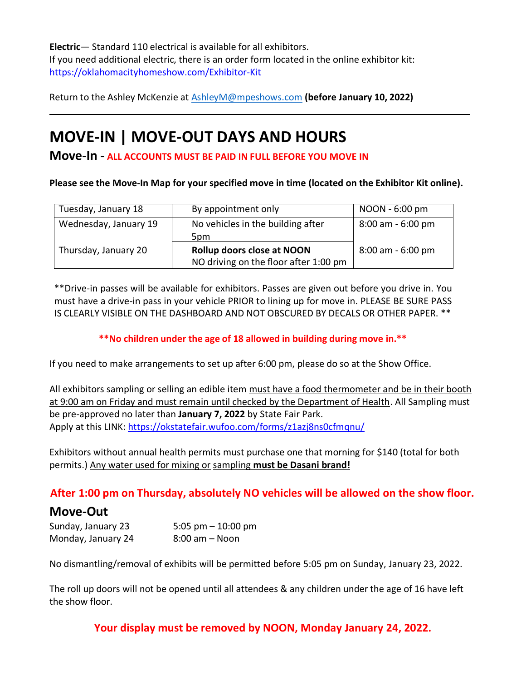**Electric**— Standard 110 electrical is available for all exhibitors. If you need additional electric, there is an order form located in the online exhibitor kit: https://oklahomacityhomeshow.com/Exhibitor-Kit

Return to the Ashley McKenzie at [AshleyM@mpeshows.com](mailto:AshleyM@mpeshows.com) **(before January 10, 2022)**

### **MOVE-IN | MOVE-OUT DAYS AND HOURS**

**Move-In - ALL ACCOUNTS MUST BE PAID IN FULL BEFORE YOU MOVE IN**

**Please see the Move-In Map for your specified move in time (located on the Exhibitor Kit online).**

| Tuesday, January 18   | By appointment only                                                 | NOON - 6:00 pm      |
|-----------------------|---------------------------------------------------------------------|---------------------|
| Wednesday, January 19 | No vehicles in the building after<br>5pm                            | 8:00 am - 6:00 pm   |
| Thursday, January 20  | Rollup doors close at NOON<br>NO driving on the floor after 1:00 pm | $8:00$ am - 6:00 pm |

\*\*Drive-in passes will be available for exhibitors. Passes are given out before you drive in. You must have a drive-in pass in your vehicle PRIOR to lining up for move in. PLEASE BE SURE PASS IS CLEARLY VISIBLE ON THE DASHBOARD AND NOT OBSCURED BY DECALS OR OTHER PAPER. \*\*

**\*\*No children under the age of 18 allowed in building during move in.\*\***

If you need to make arrangements to set up after 6:00 pm, please do so at the Show Office.

All exhibitors sampling or selling an edible item must have a food thermometer and be in their booth at 9:00 am on Friday and must remain until checked by the Department of Health. All Sampling must be pre-approved no later than **January 7, 2022** by State Fair Park. Apply at this LINK: <https://okstatefair.wufoo.com/forms/z1azj8ns0cfmqnu/>

Exhibitors without annual health permits must purchase one that morning for \$140 (total for both permits.) Any water used for mixing or sampling **must be Dasani brand!**

### **After 1:00 pm on Thursday, absolutely NO vehicles will be allowed on the show floor.**

### **Move-Out**

Sunday, January 23 5:05 pm – 10:00 pm Monday, January 24 8:00 am – Noon

No dismantling/removal of exhibits will be permitted before 5:05 pm on Sunday, January 23, 2022.

The roll up doors will not be opened until all attendees & any children under the age of 16 have left the show floor.

**Your display must be removed by NOON, Monday January 24, 2022.**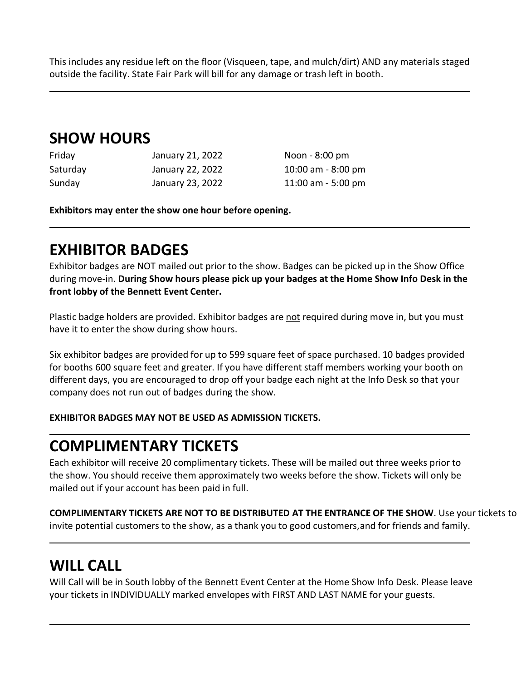This includes any residue left on the floor (Visqueen, tape, and mulch/dirt) AND any materials staged outside the facility. State Fair Park will bill for any damage or trash left in booth.

### **SHOW HOURS**

| Friday   | January 21, 2022 | Noon - 8:00 pm        |
|----------|------------------|-----------------------|
| Saturday | January 22, 2022 | $10:00$ am $-8:00$ pm |
| Sunday   | January 23, 2022 | 11:00 am $-$ 5:00 pm  |

**Exhibitors may enter the show one hour before opening.**

### **EXHIBITOR BADGES**

Exhibitor badges are NOT mailed out prior to the show. Badges can be picked up in the Show Office during move-in. **During Show hours please pick up your badges at the Home Show Info Desk in the front lobby of the Bennett Event Center.**

Plastic badge holders are provided. Exhibitor badges are not required during move in, but you must have it to enter the show during show hours.

Six exhibitor badges are provided for up to 599 square feet of space purchased. 10 badges provided for booths 600 square feet and greater. If you have different staff members working your booth on different days, you are encouraged to drop off your badge each night at the Info Desk so that your company does not run out of badges during the show.

#### **EXHIBITOR BADGES MAY NOT BE USED AS ADMISSION TICKETS.**

### **COMPLIMENTARY TICKETS**

Each exhibitor will receive 20 complimentary tickets. These will be mailed out three weeks prior to the show. You should receive them approximately two weeks before the show. Tickets will only be mailed out if your account has been paid in full.

**COMPLIMENTARY TICKETS ARE NOT TO BE DISTRIBUTED AT THE ENTRANCE OF THE SHOW**. Use your tickets to invite potential customers to the show, as a thank you to good customers,and for friends and family.

### **WILL CALL**

Will Call will be in South lobby of the Bennett Event Center at the Home Show Info Desk. Please leave your tickets in INDIVIDUALLY marked envelopes with FIRST AND LAST NAME for your guests.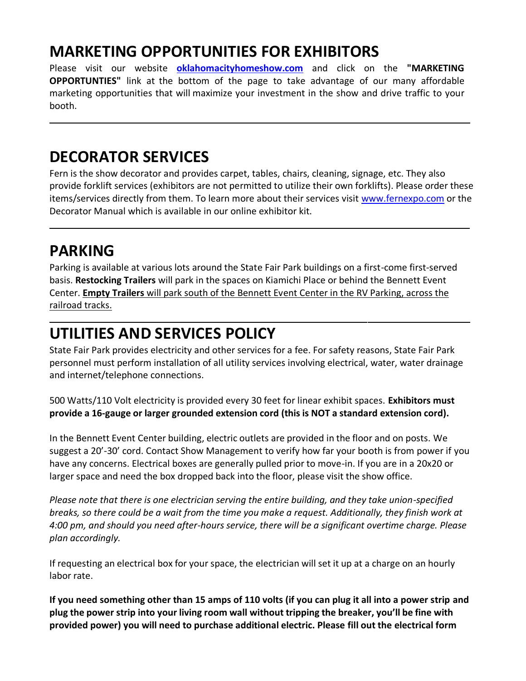### **MARKETING OPPORTUNITIES FOR EXHIBITORS**

Please visit our website **[oklahomacityhomeshow.com](http://www.oklahomacityhomeshow.com/)** and click on the **"MARKETING OPPORTUNTIES"** link at the bottom of the page to take advantage of our many affordable marketing opportunities that will maximize your investment in the show and drive traffic to your booth.

### **DECORATOR SERVICES**

Fern is the show decorator and provides carpet, tables, chairs, cleaning, signage, etc. They also provide forklift services (exhibitors are not permitted to utilize their own forklifts). Please order these items/services directly from them. To learn more about their services visit [www.fernexpo.com](http://www.fernexpo.com/) or the Decorator Manual which is available in our online exhibitor kit.

### **PARKING**

Parking is available at various lots around the State Fair Park buildings on a first-come first-served basis. **Restocking Trailers** will park in the spaces on Kiamichi Place or behind the Bennett Event Center. **Empty Trailers** will park south of the Bennett Event Center in the RV Parking, across the railroad tracks.

### **UTILITIES AND SERVICES POLICY**

State Fair Park provides electricity and other services for a fee. For safety reasons, State Fair Park personnel must perform installation of all utility services involving electrical, water, water drainage and internet/telephone connections.

500 Watts/110 Volt electricity is provided every 30 feet for linear exhibit spaces. **Exhibitors must provide a 16-gauge or larger grounded extension cord (this is NOT a standard extension cord).**

In the Bennett Event Center building, electric outlets are provided in the floor and on posts. We suggest a 20'-30' cord. Contact Show Management to verify how far your booth is from power if you have any concerns. Electrical boxes are generally pulled prior to move-in. If you are in a 20x20 or larger space and need the box dropped back into the floor, please visit the show office.

*Please note that there is one electrician serving the entire building, and they take union-specified breaks, so there could be a wait from the time you make a request. Additionally, they finish work at 4:00 pm, and should you need after-hours service, there will be a significant overtime charge. Please plan accordingly.*

If requesting an electrical box for your space, the electrician will set it up at a charge on an hourly labor rate.

**If you need something other than 15 amps of 110 volts (if you can plug it all into a power strip and plug the power strip into your living room wall without tripping the breaker, you'll be fine with provided power) you will need to purchase additional electric. Please fill out the electrical form**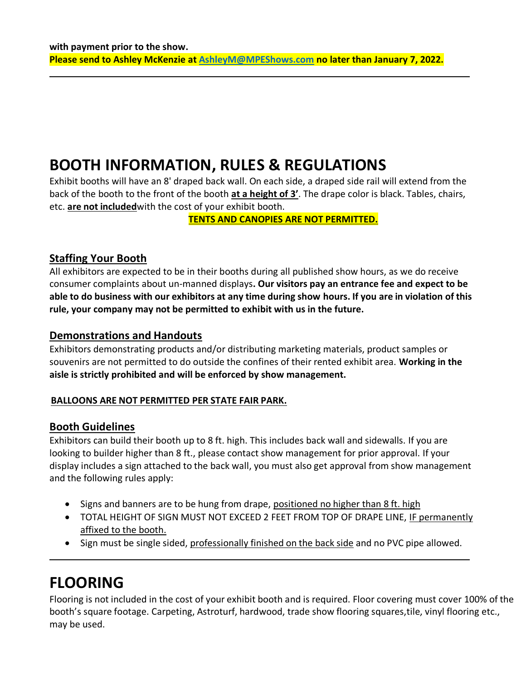### **BOOTH INFORMATION, RULES & REGULATIONS**

Exhibit booths will have an 8' draped back wall. On each side, a draped side rail will extend from the back of the booth to the front of the booth **at a height of 3'**. The drape color is black. Tables, chairs, etc. **are not included**with the cost of your exhibit booth.

**TENTS AND CANOPIES ARE NOT PERMITTED.**

#### **Staffing Your Booth**

All exhibitors are expected to be in their booths during all published show hours, as we do receive consumer complaints about un-manned displays**. Our visitors pay an entrance fee and expect to be** able to do business with our exhibitors at any time during show hours. If you are in violation of this **rule, your company may not be permitted to exhibit with us in the future.**

#### **Demonstrations and Handouts**

Exhibitors demonstrating products and/or distributing marketing materials, product samples or souvenirs are not permitted to do outside the confines of their rented exhibit area. **Working in the aisle is strictly prohibited and will be enforced by show management.**

#### **BALLOONS ARE NOT PERMITTED PER STATE FAIR PARK.**

#### **Booth Guidelines**

Exhibitors can build their booth up to 8 ft. high. This includes back wall and sidewalls. If you are looking to builder higher than 8 ft., please contact show management for prior approval. If your display includes a sign attached to the back wall, you must also get approval from show management and the following rules apply:

- Signs and banners are to be hung from drape, positioned no higher than 8 ft. high
- TOTAL HEIGHT OF SIGN MUST NOT EXCEED 2 FEET FROM TOP OF DRAPE LINE, IF permanently affixed to the booth.
- Sign must be single sided, professionally finished on the back side and no PVC pipe allowed.

### **FLOORING**

Flooring is not included in the cost of your exhibit booth and is required. Floor covering must cover 100% of the booth's square footage. Carpeting, Astroturf, hardwood, trade show flooring squares,tile, vinyl flooring etc., may be used.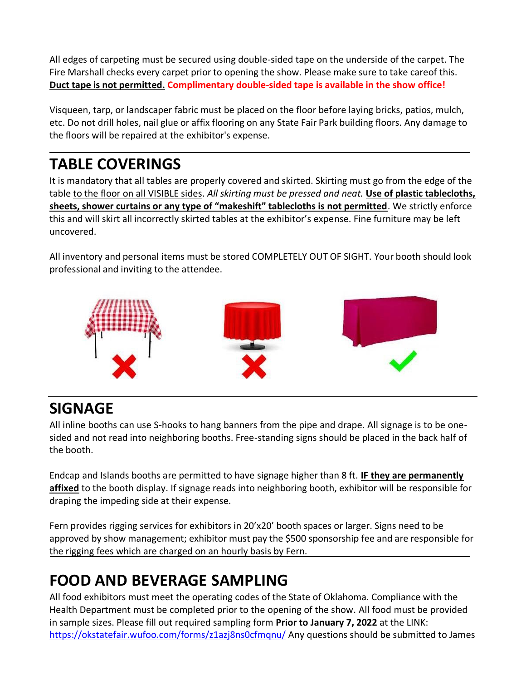All edges of carpeting must be secured using double-sided tape on the underside of the carpet. The Fire Marshall checks every carpet prior to opening the show. Please make sure to take careof this. **Duct tape is not permitted. Complimentary double-sided tape is available in the show office!**

Visqueen, tarp, or landscaper fabric must be placed on the floor before laying bricks, patios, mulch, etc. Do not drill holes, nail glue or affix flooring on any State Fair Park building floors. Any damage to the floors will be repaired at the exhibitor's expense.

### **TABLE COVERINGS**

It is mandatory that all tables are properly covered and skirted. Skirting must go from the edge of the table to the floor on all VISIBLE sides. *All skirting must be pressed and neat.* **Use of plastic tablecloths, sheets, shower curtains or any type of "makeshift" tablecloths is not permitted**. We strictly enforce this and will skirt all incorrectly skirted tables at the exhibitor's expense. Fine furniture may be left uncovered.

All inventory and personal items must be stored COMPLETELY OUT OF SIGHT. Your booth should look professional and inviting to the attendee.



### **SIGNAGE**

All inline booths can use S-hooks to hang banners from the pipe and drape. All signage is to be onesided and not read into neighboring booths. Free-standing signs should be placed in the back half of the booth.

Endcap and Islands booths are permitted to have signage higher than 8 ft. **IF they are permanently affixed** to the booth display. If signage reads into neighboring booth, exhibitor will be responsible for draping the impeding side at their expense.

Fern provides rigging services for exhibitors in 20'x20' booth spaces or larger. Signs need to be approved by show management; exhibitor must pay the \$500 sponsorship fee and are responsible for the rigging fees which are charged on an hourly basis by Fern.

### **FOOD AND BEVERAGE SAMPLING**

All food exhibitors must meet the operating codes of the State of Oklahoma. Compliance with the Health Department must be completed prior to the opening of the show. All food must be provided in sample sizes. Please fill out required sampling form **Prior to January 7, 2022** at the LINK: <https://okstatefair.wufoo.com/forms/z1azj8ns0cfmqnu/> Any questions should be submitted to James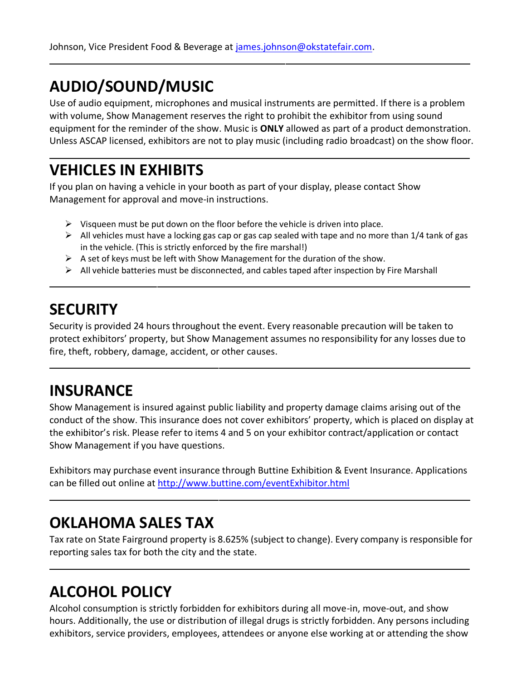### **AUDIO/SOUND/MUSIC**

Use of audio equipment, microphones and musical instruments are permitted. If there is a problem with volume, Show Management reserves the right to prohibit the exhibitor from using sound equipment for the reminder of the show. Music is **ONLY** allowed as part of a product demonstration. Unless ASCAP licensed, exhibitors are not to play music (including radio broadcast) on the show floor.

### **VEHICLES IN EXHIBITS**

If you plan on having a vehicle in your booth as part of your display, please contact Show Management for approval and move-in instructions.

- $\triangleright$  Visqueen must be put down on the floor before the vehicle is driven into place.
- $\triangleright$  All vehicles must have a locking gas cap or gas cap sealed with tape and no more than 1/4 tank of gas in the vehicle. (This is strictly enforced by the fire marshal!)
- $\triangleright$  A set of keys must be left with Show Management for the duration of the show.
- $\triangleright$  All vehicle batteries must be disconnected, and cables taped after inspection by Fire Marshall

### **SECURITY**

Security is provided 24 hours throughout the event. Every reasonable precaution will be taken to protect exhibitors' property, but Show Management assumes no responsibility for any losses due to fire, theft, robbery, damage, accident, or other causes.

### **INSURANCE**

Show Management is insured against public liability and property damage claims arising out of the conduct of the show. This insurance does not cover exhibitors' property, which is placed on display at the exhibitor's risk. Please refer to items 4 and 5 on your exhibitor contract/application or contact Show Management if you have questions.

Exhibitors may purchase event insurance through Buttine Exhibition & Event Insurance. Applications can be filled out online at <http://www.buttine.com/eventExhibitor.html>

### **OKLAHOMA SALES TAX**

Tax rate on State Fairground property is 8.625% (subject to change). Every company is responsible for reporting sales tax for both the city and the state.

### **ALCOHOL POLICY**

Alcohol consumption is strictly forbidden for exhibitors during all move-in, move-out, and show hours. Additionally, the use or distribution of illegal drugs is strictly forbidden. Any persons including exhibitors, service providers, employees, attendees or anyone else working at or attending the show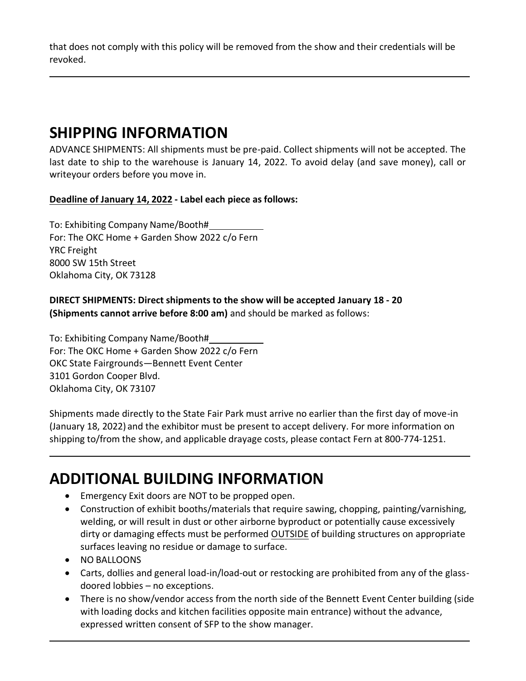that does not comply with this policy will be removed from the show and their credentials will be revoked.

### **SHIPPING INFORMATION**

ADVANCE SHIPMENTS: All shipments must be pre-paid. Collect shipments will not be accepted. The last date to ship to the warehouse is January 14, 2022. To avoid delay (and save money), call or writeyour orders before you move in.

**Deadline of January 14, 2022 - Label each piece as follows:**

To: Exhibiting Company Name/Booth# For: The OKC Home + Garden Show 2022 c/o Fern YRC Freight 8000 SW 15th Street Oklahoma City, OK 73128

#### **DIRECT SHIPMENTS: Direct shipments to the show will be accepted January 18 - 20 (Shipments cannot arrive before 8:00 am)** and should be marked as follows:

To: Exhibiting Company Name/Booth# For: The OKC Home + Garden Show 2022 c/o Fern OKC State Fairgrounds—Bennett Event Center 3101 Gordon Cooper Blvd. Oklahoma City, OK 73107

Shipments made directly to the State Fair Park must arrive no earlier than the first day of move-in (January 18, 2022) and the exhibitor must be present to accept delivery. For more information on shipping to/from the show, and applicable drayage costs, please contact Fern at 800-774-1251.

### **ADDITIONAL BUILDING INFORMATION**

- Emergency Exit doors are NOT to be propped open.
- Construction of exhibit booths/materials that require sawing, chopping, painting/varnishing, welding, or will result in dust or other airborne byproduct or potentially cause excessively dirty or damaging effects must be performed OUTSIDE of building structures on appropriate surfaces leaving no residue or damage to surface.
- NO BALLOONS
- Carts, dollies and general load-in/load-out or restocking are prohibited from any of the glassdoored lobbies – no exceptions.
- There is no show/vendor access from the north side of the Bennett Event Center building (side with loading docks and kitchen facilities opposite main entrance) without the advance, expressed written consent of SFP to the show manager.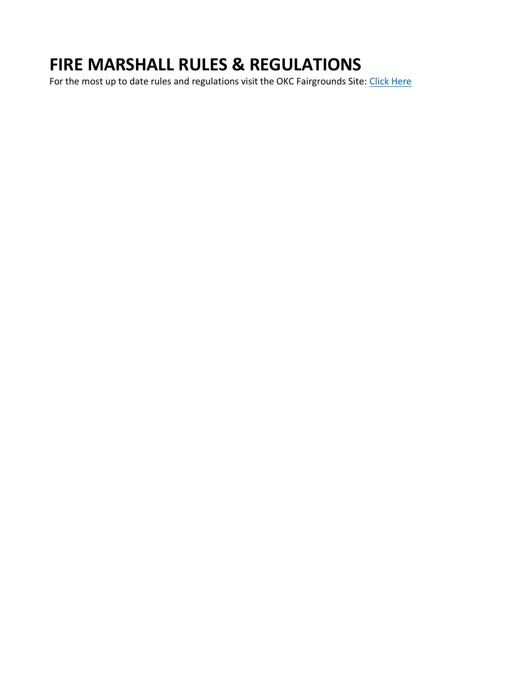### **FIRE MARSHALL RULES & REGULATIONS**

For the most up to date rules and regulations visit the OKC Fairgrounds Site: [Click Here](https://okcfairgrounds.com/uploads/okcfiremarshalrequirements.pdf)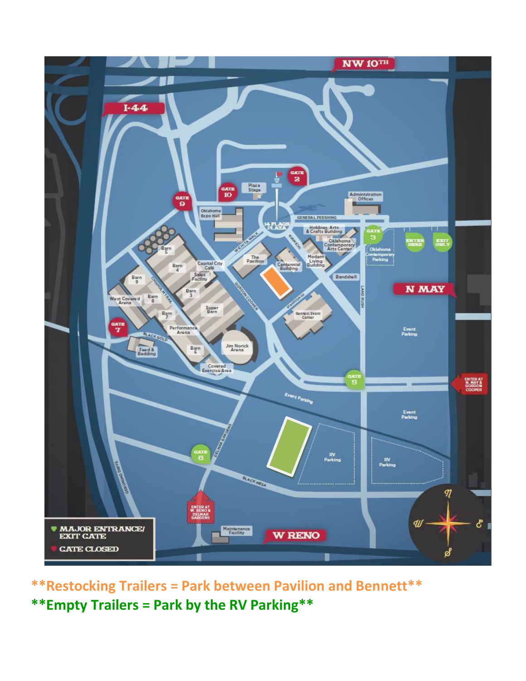

**\*\*Restocking Trailers = Park between Pavilion and Bennett\*\* \*\*Empty Trailers = Park by the RV Parking\*\***